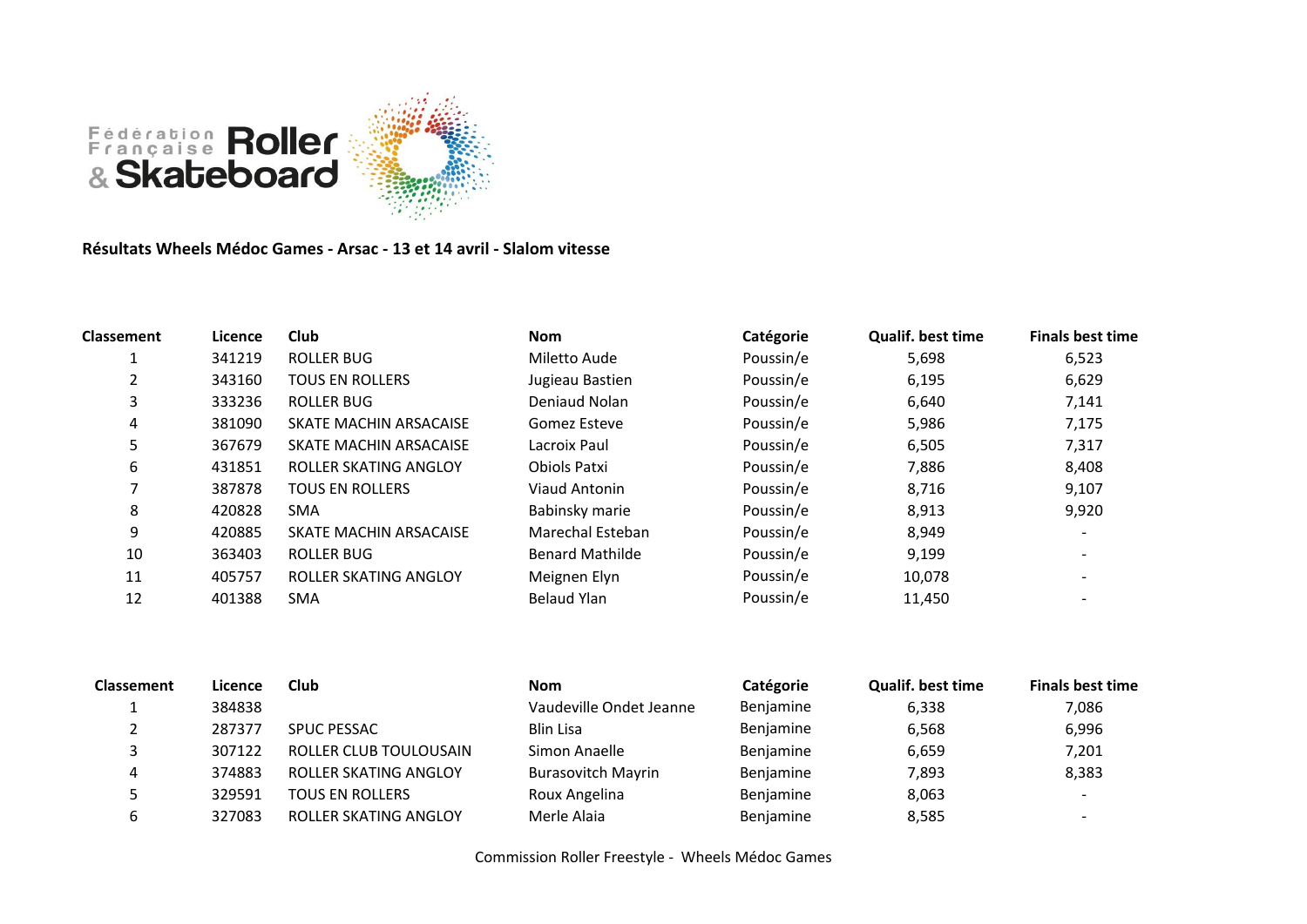

**Résultats Wheels Médoc Games - Arsac - 13 et 14 avril - Slalom vitesse**

| Classement | Licence | <b>Club</b>            | <b>Nom</b>             | Catégorie | <b>Qualif. best time</b> | <b>Finals best time</b> |
|------------|---------|------------------------|------------------------|-----------|--------------------------|-------------------------|
|            | 341219  | <b>ROLLER BUG</b>      | Miletto Aude           | Poussin/e | 5,698                    | 6,523                   |
|            | 343160  | <b>TOUS EN ROLLERS</b> | Jugieau Bastien        | Poussin/e | 6,195                    | 6,629                   |
| 3          | 333236  | <b>ROLLER BUG</b>      | Deniaud Nolan          | Poussin/e | 6,640                    | 7,141                   |
| 4          | 381090  | SKATE MACHIN ARSACAISE | Gomez Esteve           | Poussin/e | 5,986                    | 7,175                   |
| 5          | 367679  | SKATE MACHIN ARSACAISE | Lacroix Paul           | Poussin/e | 6,505                    | 7,317                   |
| 6          | 431851  | ROLLER SKATING ANGLOY  | Obiols Patxi           | Poussin/e | 7,886                    | 8,408                   |
|            | 387878  | <b>TOUS EN ROLLERS</b> | Viaud Antonin          | Poussin/e | 8,716                    | 9,107                   |
| 8          | 420828  | <b>SMA</b>             | Babinsky marie         | Poussin/e | 8,913                    | 9,920                   |
| 9          | 420885  | SKATE MACHIN ARSACAISE | Marechal Esteban       | Poussin/e | 8,949                    |                         |
| 10         | 363403  | ROLLER BUG             | <b>Benard Mathilde</b> | Poussin/e | 9,199                    |                         |
| 11         | 405757  | ROLLER SKATING ANGLOY  | Meignen Elyn           | Poussin/e | 10,078                   |                         |
| 12         | 401388  | <b>SMA</b>             | <b>Belaud Ylan</b>     | Poussin/e | 11,450                   |                         |

| <b>Classement</b> | Licence | <b>Club</b>            | <b>Nom</b>                | Catégorie | <b>Qualif. best time</b> | <b>Finals best time</b>  |
|-------------------|---------|------------------------|---------------------------|-----------|--------------------------|--------------------------|
|                   | 384838  |                        | Vaudeville Ondet Jeanne   | Benjamine | 6,338                    | 7,086                    |
|                   | 287377  | <b>SPUC PESSAC</b>     | Blin Lisa                 | Benjamine | 6,568                    | 6,996                    |
|                   | 307122  | ROLLER CLUB TOULOUSAIN | Simon Anaelle             | Benjamine | 6,659                    | 7,201                    |
| 4                 | 374883  | ROLLER SKATING ANGLOY  | <b>Burasovitch Mayrin</b> | Benjamine | 7,893                    | 8,383                    |
|                   | 329591  | <b>TOUS EN ROLLERS</b> | Roux Angelina             | Benjamine | 8,063                    | -                        |
| ь                 | 327083  | ROLLER SKATING ANGLOY  | Merle Alaia               | Benjamine | 8,585                    | $\overline{\phantom{0}}$ |

Commission Roller Freestyle - Wheels Médoc Games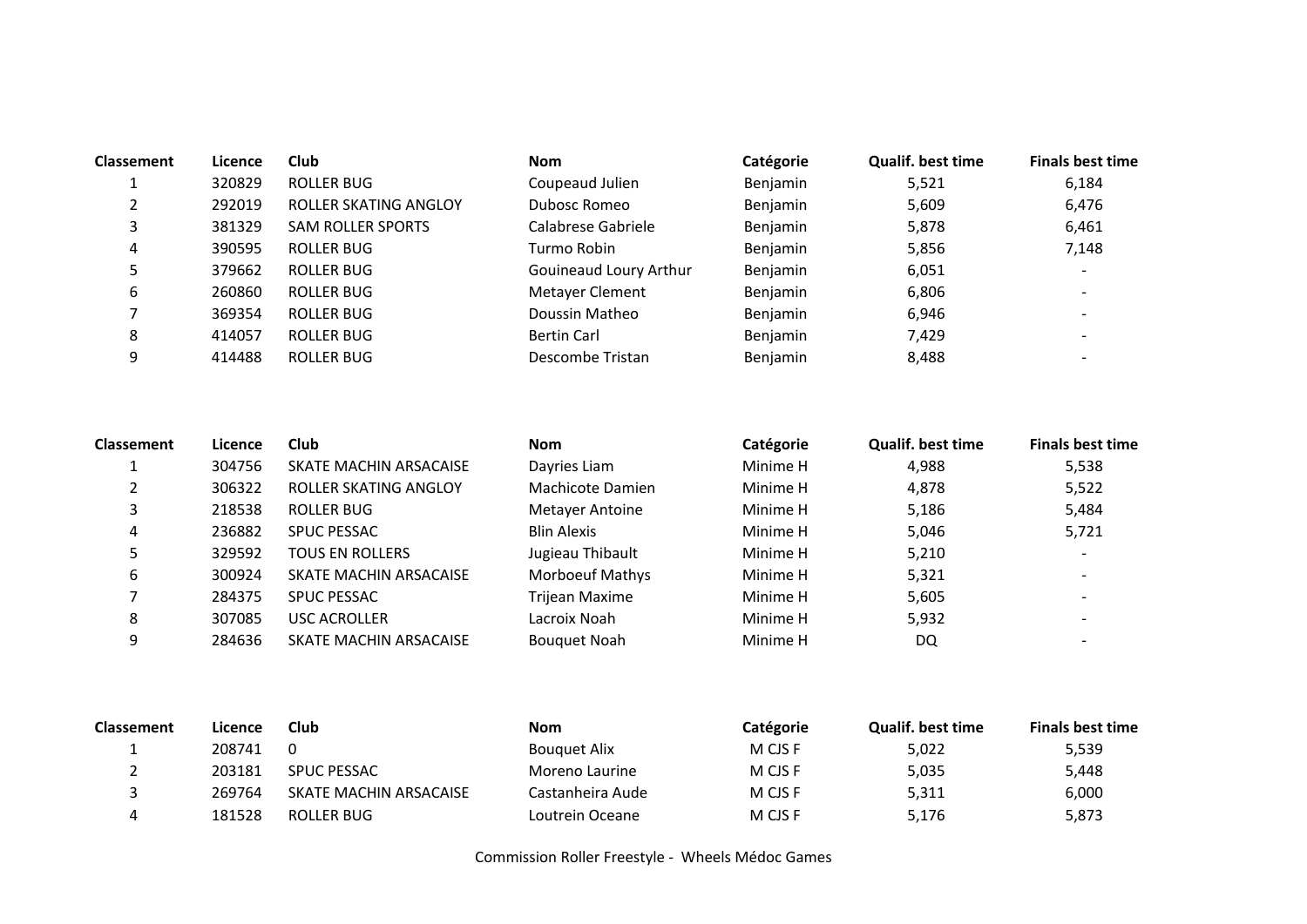| <b>Classement</b> | Licence | <b>Club</b>              | <b>Nom</b>             | Catégorie | <b>Qualif, best time</b> | <b>Finals best time</b>  |
|-------------------|---------|--------------------------|------------------------|-----------|--------------------------|--------------------------|
|                   | 320829  | ROLLER BUG               | Coupeaud Julien        | Benjamin  | 5,521                    | 6.184                    |
| າ                 | 292019  | ROLLER SKATING ANGLOY    | Dubosc Romeo           | Benjamin  | 5,609                    | 6,476                    |
|                   | 381329  | <b>SAM ROLLER SPORTS</b> | Calabrese Gabriele     | Benjamin  | 5,878                    | 6,461                    |
| 4                 | 390595  | ROLLER BUG               | Turmo Robin            | Benjamin  | 5,856                    | 7,148                    |
|                   | 379662  | ROLLER BUG               | Gouineaud Loury Arthur | Benjamin  | 6,051                    | $\overline{\phantom{a}}$ |
| b                 | 260860  | ROLLER BUG               | Metayer Clement        | Benjamin  | 6,806                    |                          |
|                   | 369354  | ROLLER BUG               | Doussin Matheo         | Benjamin  | 6,946                    |                          |
| 8                 | 414057  | ROLLER BUG               | <b>Bertin Carl</b>     | Benjamin  | 7,429                    |                          |
| 9                 | 414488  | ROLLER BUG               | Descombe Tristan       | Benjamin  | 8,488                    |                          |

| <b>Classement</b> | Licence | Club                   | <b>Nom</b>          | Catégorie | Qualif. best time | <b>Finals best time</b>  |
|-------------------|---------|------------------------|---------------------|-----------|-------------------|--------------------------|
|                   | 304756  | SKATE MACHIN ARSACAISE | Dayries Liam        | Minime H  | 4,988             | 5,538                    |
|                   | 306322  | ROLLER SKATING ANGLOY  | Machicote Damien    | Minime H  | 4,878             | 5,522                    |
| 3                 | 218538  | ROLLER BUG             | Metayer Antoine     | Minime H  | 5,186             | 5,484                    |
| 4                 | 236882  | <b>SPUC PESSAC</b>     | <b>Blin Alexis</b>  | Minime H  | 5,046             | 5,721                    |
| 5                 | 329592  | <b>TOUS EN ROLLERS</b> | Jugieau Thibault    | Minime H  | 5,210             | $\overline{\phantom{a}}$ |
| 6                 | 300924  | SKATE MACHIN ARSACAISE | Morboeuf Mathys     | Minime H  | 5,321             |                          |
|                   | 284375  | <b>SPUC PESSAC</b>     | Trijean Maxime      | Minime H  | 5,605             | $\overline{\phantom{0}}$ |
| 8                 | 307085  | <b>USC ACROLLER</b>    | Lacroix Noah        | Minime H  | 5,932             |                          |
| 9                 | 284636  | SKATE MACHIN ARSACAISE | <b>Bouguet Noah</b> | Minime H  | DQ                |                          |

| <b>Classement</b> | Licence | Club                   | Nom              | <b>Catégorie</b> | Qualif. best time | <b>Finals best time</b> |
|-------------------|---------|------------------------|------------------|------------------|-------------------|-------------------------|
|                   | 208741  | 0                      | Bouguet Alix     | M CJS F          | 5,022             | 5,539                   |
|                   | 203181  | <b>SPUC PESSAC</b>     | Moreno Laurine   | M CJS F          | 5,035             | 5,448                   |
|                   | 269764  | SKATE MACHIN ARSACAISE | Castanheira Aude | M CJS F          | 5,311             | 6,000                   |
|                   | 181528  | ROLLER BUG             | Loutrein Oceane  | M CJS F          | 5,176             | 5,873                   |

Commission Roller Freestyle - Wheels Médoc Games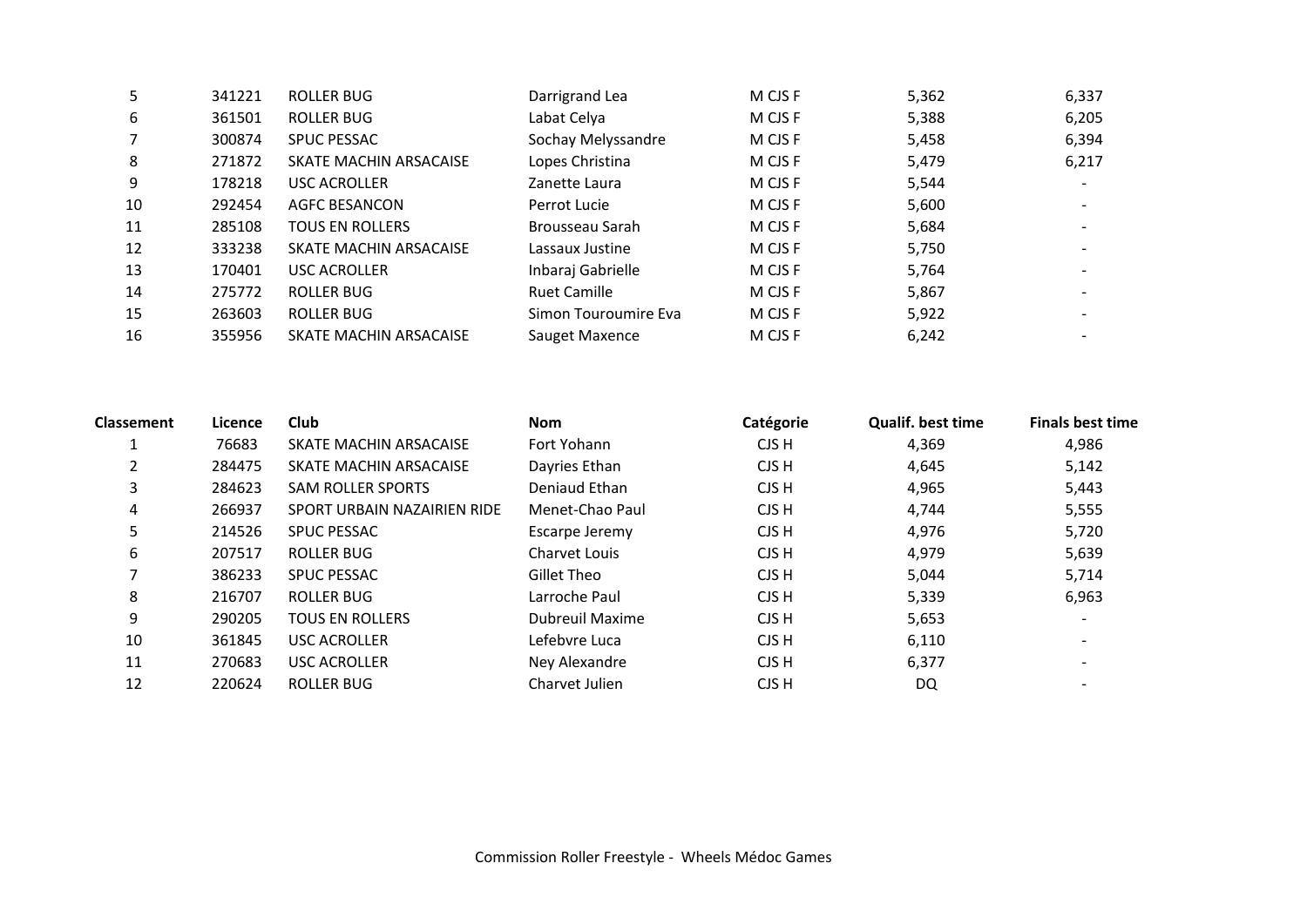| 341221 | <b>ROLLER BUG</b>      | Darrigrand Lea       | M CJS F | 5,362 | 6,337                    |
|--------|------------------------|----------------------|---------|-------|--------------------------|
| 361501 | ROLLER BUG             | Labat Celya          | M CJS F | 5,388 | 6,205                    |
| 300874 | <b>SPUC PESSAC</b>     | Sochay Melyssandre   | M CJS F | 5,458 | 6,394                    |
| 271872 | SKATE MACHIN ARSACAISE | Lopes Christina      | M CJS F | 5,479 | 6,217                    |
| 178218 | <b>USC ACROLLER</b>    | Zanette Laura        | M CJS F | 5,544 |                          |
| 292454 | <b>AGFC BESANCON</b>   | Perrot Lucie         | M CJS F | 5,600 |                          |
| 285108 | <b>TOUS EN ROLLERS</b> | Brousseau Sarah      | M CJS F | 5,684 |                          |
| 333238 | SKATE MACHIN ARSACAISE | Lassaux Justine      | M CJS F | 5,750 |                          |
| 170401 | <b>USC ACROLLER</b>    | Inbaraj Gabrielle    | M CJS F | 5,764 |                          |
| 275772 | ROLLER BUG             | <b>Ruet Camille</b>  | M CJS F | 5,867 |                          |
| 263603 | ROLLER BUG             | Simon Touroumire Eva | M CJS F | 5,922 |                          |
| 355956 | SKATE MACHIN ARSACAISE | Sauget Maxence       | M CJS F | 6,242 | $\overline{\phantom{0}}$ |
|        |                        |                      |         |       |                          |

| Classement | Licence | Club                        | <b>Nom</b>      | Catégorie | <b>Qualif. best time</b> | <b>Finals best time</b>  |
|------------|---------|-----------------------------|-----------------|-----------|--------------------------|--------------------------|
|            | 76683   | SKATE MACHIN ARSACAISE      | Fort Yohann     | CJS H     | 4,369                    | 4,986                    |
| 2          | 284475  | SKATE MACHIN ARSACAISE      | Dayries Ethan   | CJS H     | 4,645                    | 5,142                    |
| 3          | 284623  | <b>SAM ROLLER SPORTS</b>    | Deniaud Ethan   | CJS H     | 4,965                    | 5,443                    |
| 4          | 266937  | SPORT URBAIN NAZAIRIEN RIDE | Menet-Chao Paul | CJS H     | 4,744                    | 5,555                    |
| 5          | 214526  | <b>SPUC PESSAC</b>          | Escarpe Jeremy  | CJS H     | 4,976                    | 5,720                    |
| 6          | 207517  | ROLLER BUG                  | Charvet Louis   | CJS H     | 4,979                    | 5,639                    |
| 7          | 386233  | <b>SPUC PESSAC</b>          | Gillet Theo     | CJS H     | 5,044                    | 5,714                    |
| 8          | 216707  | ROLLER BUG                  | Larroche Paul   | CJS H     | 5,339                    | 6,963                    |
| 9          | 290205  | <b>TOUS EN ROLLERS</b>      | Dubreuil Maxime | CJS H     | 5,653                    | $\overline{\phantom{a}}$ |
| 10         | 361845  | <b>USC ACROLLER</b>         | Lefebvre Luca   | CJS H     | 6,110                    | $\overline{\phantom{a}}$ |
| 11         | 270683  | <b>USC ACROLLER</b>         | Ney Alexandre   | CJS H     | 6,377                    |                          |
| 12         | 220624  | ROLLER BUG                  | Charvet Julien  | CJS H     | DQ                       |                          |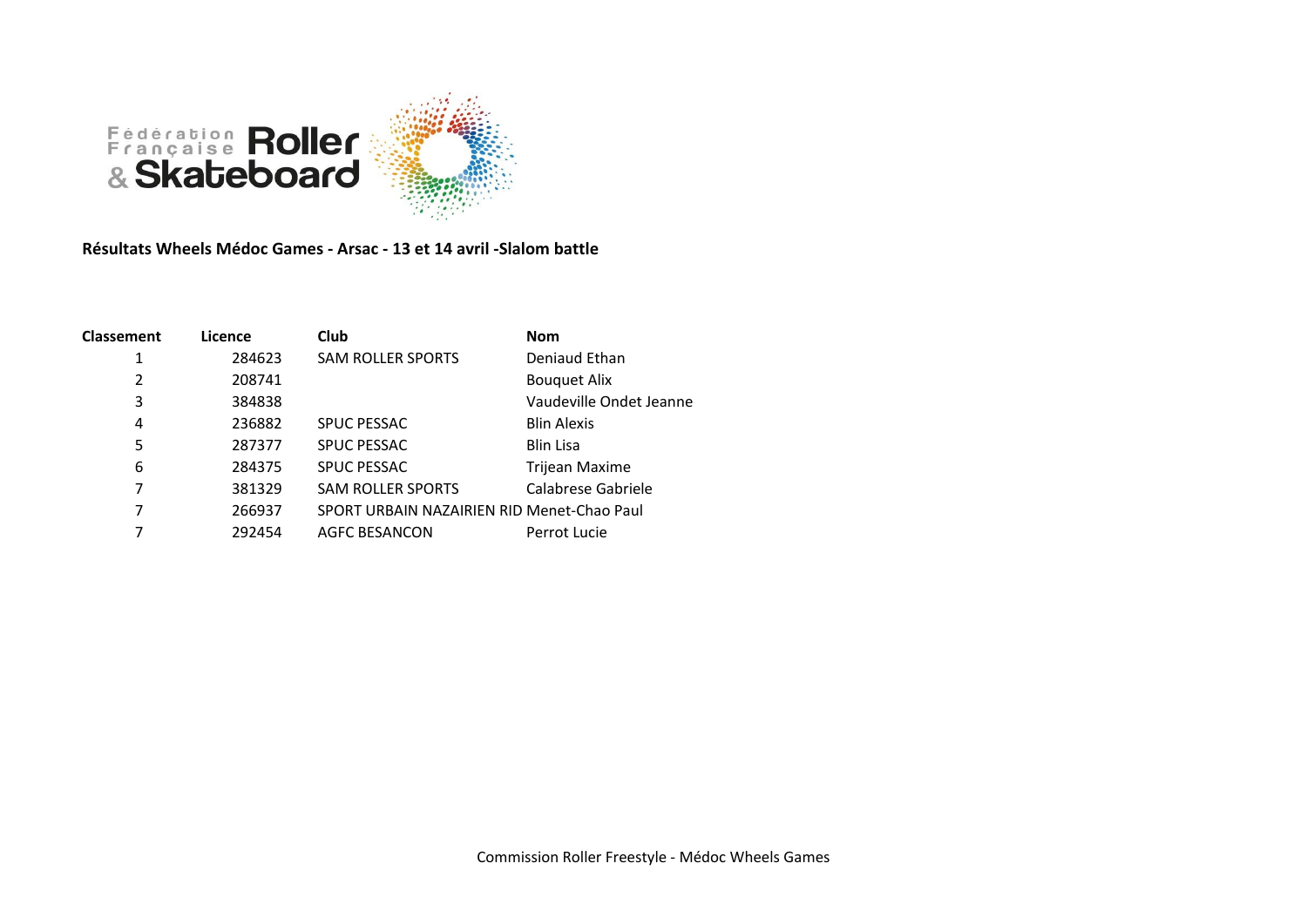

**Résultats Wheels Médoc Games - Arsac - 13 et 14 avril -Slalom battle**

| <b>Classement</b> | Licence | <b>Club</b>                                | <b>Nom</b>              |
|-------------------|---------|--------------------------------------------|-------------------------|
| 1                 | 284623  | <b>SAM ROLLER SPORTS</b>                   | Deniaud Ethan           |
| $\overline{2}$    | 208741  |                                            | <b>Bouquet Alix</b>     |
| 3                 | 384838  |                                            | Vaudeville Ondet Jeanne |
| 4                 | 236882  | <b>SPUC PESSAC</b>                         | <b>Blin Alexis</b>      |
| 5                 | 287377  | <b>SPUC PESSAC</b>                         | <b>Blin Lisa</b>        |
| 6                 | 284375  | <b>SPUC PESSAC</b>                         | Trijean Maxime          |
| 7                 | 381329  | <b>SAM ROLLER SPORTS</b>                   | Calabrese Gabriele      |
| 7                 | 266937  | SPORT URBAIN NAZAIRIEN RID Menet-Chao Paul |                         |
| 7                 | 292454  | <b>AGFC BESANCON</b>                       | Perrot Lucie            |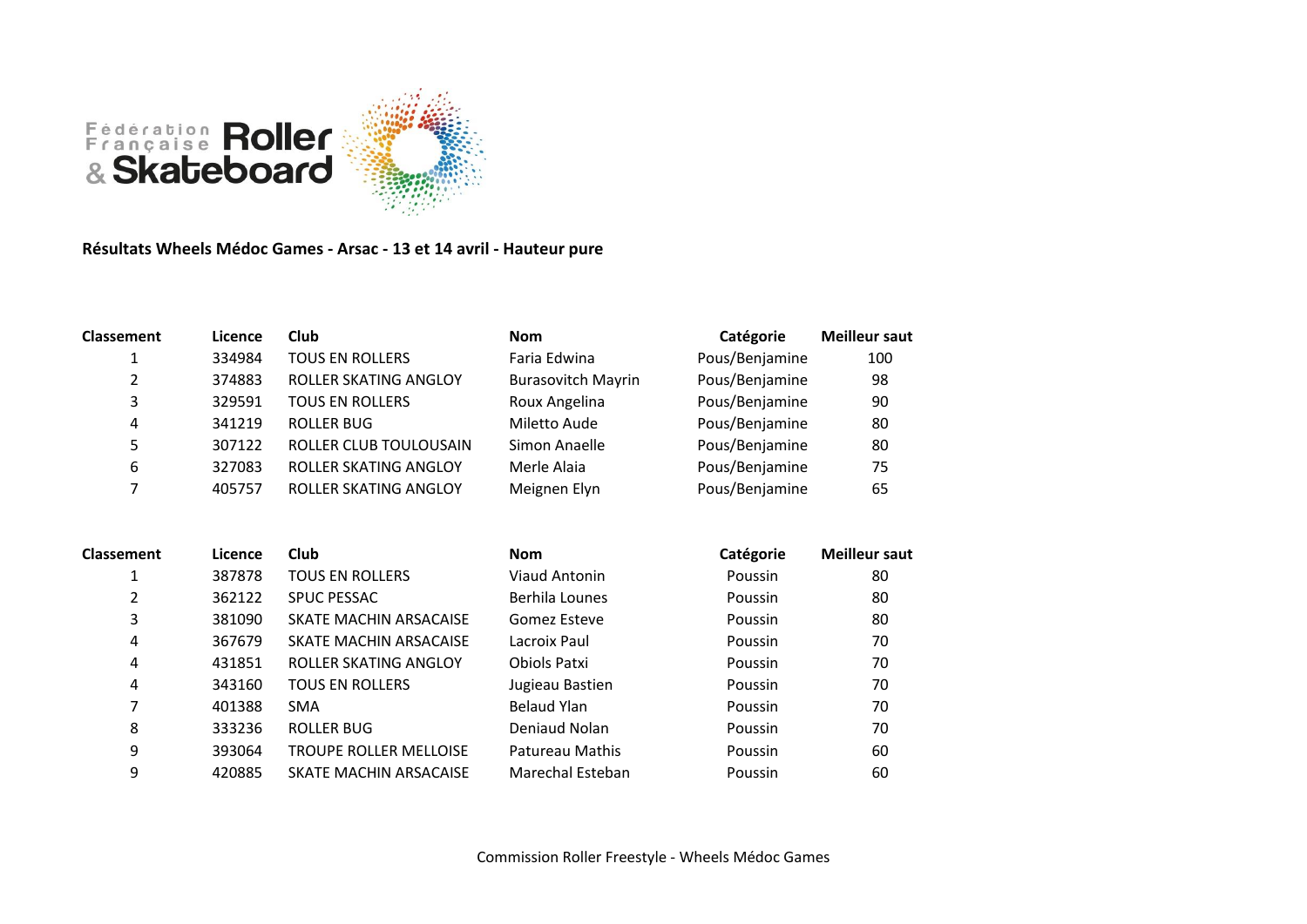

## **Résultats Wheels Médoc Games - Arsac - 13 et 14 avril - Hauteur pure**

| <b>Classement</b> | Licence | Club                   | <b>Nom</b>                | Catégorie      | <b>Meilleur saut</b> |
|-------------------|---------|------------------------|---------------------------|----------------|----------------------|
| 1                 | 334984  | <b>TOUS EN ROLLERS</b> | Faria Edwina              | Pous/Benjamine | 100                  |
| 2                 | 374883  | ROLLER SKATING ANGLOY  | <b>Burasovitch Mayrin</b> | Pous/Benjamine | 98                   |
| 3                 | 329591  | <b>TOUS EN ROLLERS</b> | Roux Angelina             | Pous/Benjamine | 90                   |
| 4                 | 341219  | <b>ROLLER BUG</b>      | Miletto Aude              | Pous/Benjamine | 80                   |
| 5                 | 307122  | ROLLER CLUB TOULOUSAIN | Simon Anaelle             | Pous/Benjamine | 80                   |
| 6                 | 327083  | ROLLER SKATING ANGLOY  | Merle Alaia               | Pous/Benjamine | 75                   |
| ⇁                 | 405757  | ROLLER SKATING ANGLOY  | Meignen Elyn              | Pous/Benjamine | 65                   |

| <b>Classement</b> | Licence | Club                          | <b>Nom</b>       | Catégorie | <b>Meilleur saut</b> |
|-------------------|---------|-------------------------------|------------------|-----------|----------------------|
| 1                 | 387878  | <b>TOUS EN ROLLERS</b>        | Viaud Antonin    | Poussin   | 80                   |
| 2                 | 362122  | <b>SPUC PESSAC</b>            | Berhila Lounes   | Poussin   | 80                   |
| 3                 | 381090  | SKATE MACHIN ARSACAISE        | Gomez Esteve     | Poussin   | 80                   |
| 4                 | 367679  | SKATE MACHIN ARSACAISE        | Lacroix Paul     | Poussin   | 70                   |
| 4                 | 431851  | ROLLER SKATING ANGLOY         | Obiols Patxi     | Poussin   | 70                   |
| 4                 | 343160  | <b>TOUS EN ROLLERS</b>        | Jugieau Bastien  | Poussin   | 70                   |
| 7                 | 401388  | <b>SMA</b>                    | Belaud Ylan      | Poussin   | 70                   |
| 8                 | 333236  | ROLLER BUG                    | Deniaud Nolan    | Poussin   | 70                   |
| 9                 | 393064  | <b>TROUPE ROLLER MELLOISE</b> | Patureau Mathis  | Poussin   | 60                   |
| 9                 | 420885  | SKATE MACHIN ARSACAISE        | Marechal Esteban | Poussin   | 60                   |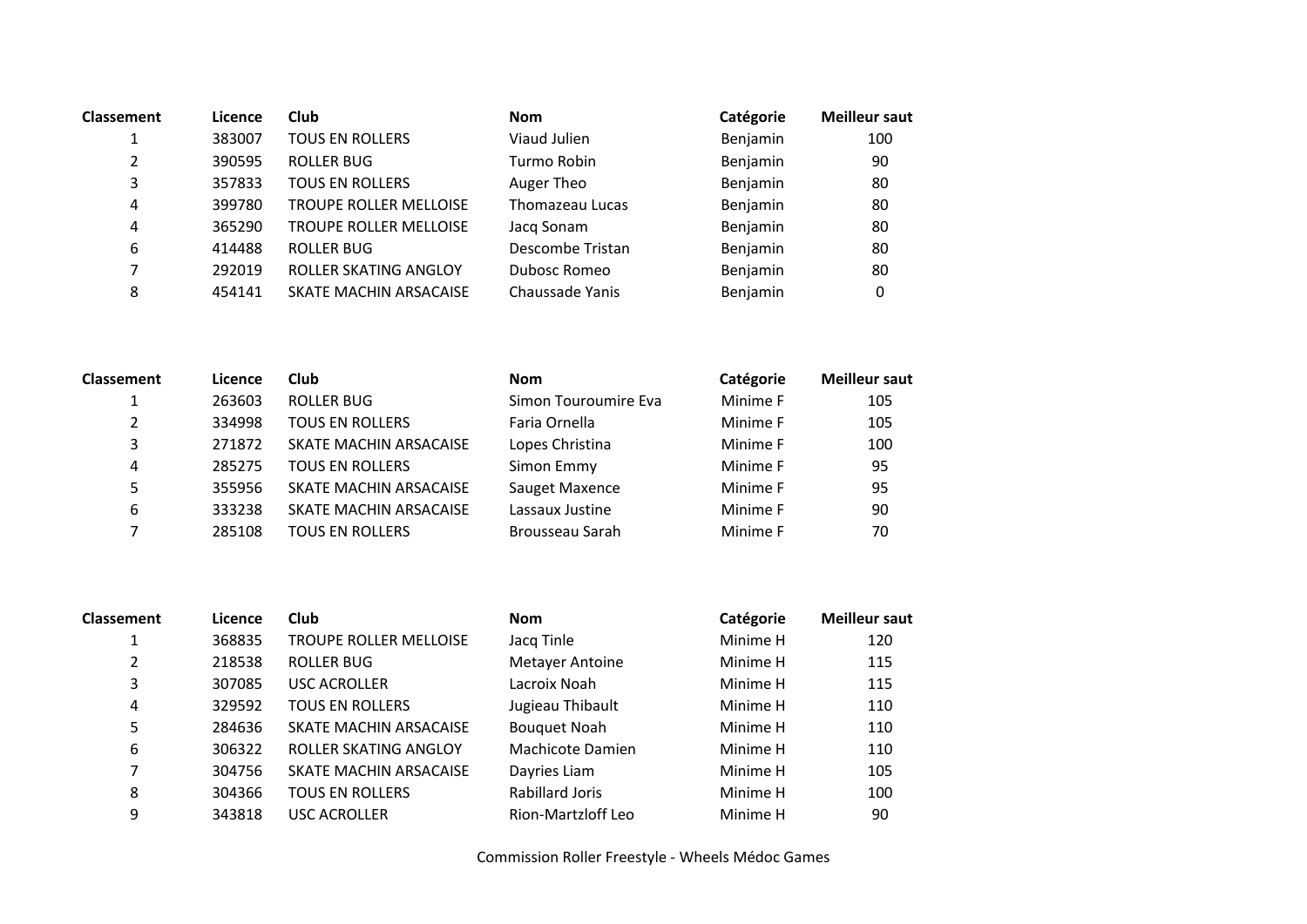| <b>Classement</b> | Licence | <b>Club</b>                   | <b>Nom</b>       | Catégorie | <b>Meilleur saut</b> |
|-------------------|---------|-------------------------------|------------------|-----------|----------------------|
| 1                 | 383007  | <b>TOUS EN ROLLERS</b>        | Viaud Julien     | Benjamin  | 100                  |
| 2                 | 390595  | <b>ROLLER BUG</b>             | Turmo Robin      | Benjamin  | 90                   |
| 3                 | 357833  | <b>TOUS EN ROLLERS</b>        | Auger Theo       | Benjamin  | 80                   |
| 4                 | 399780  | <b>TROUPE ROLLER MELLOISE</b> | Thomazeau Lucas  | Benjamin  | 80                   |
| 4                 | 365290  | <b>TROUPE ROLLER MELLOISE</b> | Jacq Sonam       | Benjamin  | 80                   |
| 6                 | 414488  | <b>ROLLER BUG</b>             | Descombe Tristan | Benjamin  | 80                   |
| 7                 | 292019  | ROLLER SKATING ANGLOY         | Dubosc Romeo     | Benjamin  | 80                   |
| 8                 | 454141  | SKATE MACHIN ARSACAISE        | Chaussade Yanis  | Benjamin  | 0                    |

| <b>Classement</b> | Licence | Club                   | <b>Nom</b>           | Catégorie | <b>Meilleur saut</b> |
|-------------------|---------|------------------------|----------------------|-----------|----------------------|
|                   | 263603  | <b>ROLLER BUG</b>      | Simon Touroumire Eva | Minime F  | 105                  |
| 2                 | 334998  | <b>TOUS EN ROLLERS</b> | Faria Ornella        | Minime F  | 105                  |
| 3                 | 271872  | SKATE MACHIN ARSACAISE | Lopes Christina      | Minime F  | 100                  |
| 4                 | 285275  | <b>TOUS EN ROLLERS</b> | Simon Emmy           | Minime F  | 95                   |
| 5.                | 355956  | SKATE MACHIN ARSACAISE | Sauget Maxence       | Minime F  | 95                   |
| 6                 | 333238  | SKATE MACHIN ARSACAISE | Lassaux Justine      | Minime F  | 90                   |
|                   | 285108  | <b>TOUS EN ROLLERS</b> | Brousseau Sarah      | Minime F  | 70                   |

| <b>Classement</b> | Licence | Club                          | <b>Nom</b>          | Catégorie | <b>Meilleur saut</b> |
|-------------------|---------|-------------------------------|---------------------|-----------|----------------------|
| 1                 | 368835  | <b>TROUPE ROLLER MELLOISE</b> | Jacq Tinle          | Minime H  | 120                  |
| 2                 | 218538  | ROLLER BUG                    | Metayer Antoine     | Minime H  | 115                  |
| 3                 | 307085  | <b>USC ACROLLER</b>           | Lacroix Noah        | Minime H  | 115                  |
| 4                 | 329592  | <b>TOUS EN ROLLERS</b>        | Jugieau Thibault    | Minime H  | 110                  |
| 5                 | 284636  | SKATE MACHIN ARSACAISE        | <b>Bouquet Noah</b> | Minime H  | 110                  |
| 6                 | 306322  | ROLLER SKATING ANGLOY         | Machicote Damien    | Minime H  | 110                  |
| 7                 | 304756  | SKATE MACHIN ARSACAISE        | Dayries Liam        | Minime H  | 105                  |
| 8                 | 304366  | <b>TOUS EN ROLLERS</b>        | Rabillard Joris     | Minime H  | 100                  |
| 9                 | 343818  | <b>USC ACROLLER</b>           | Rion-Martzloff Leo  | Minime H  | 90                   |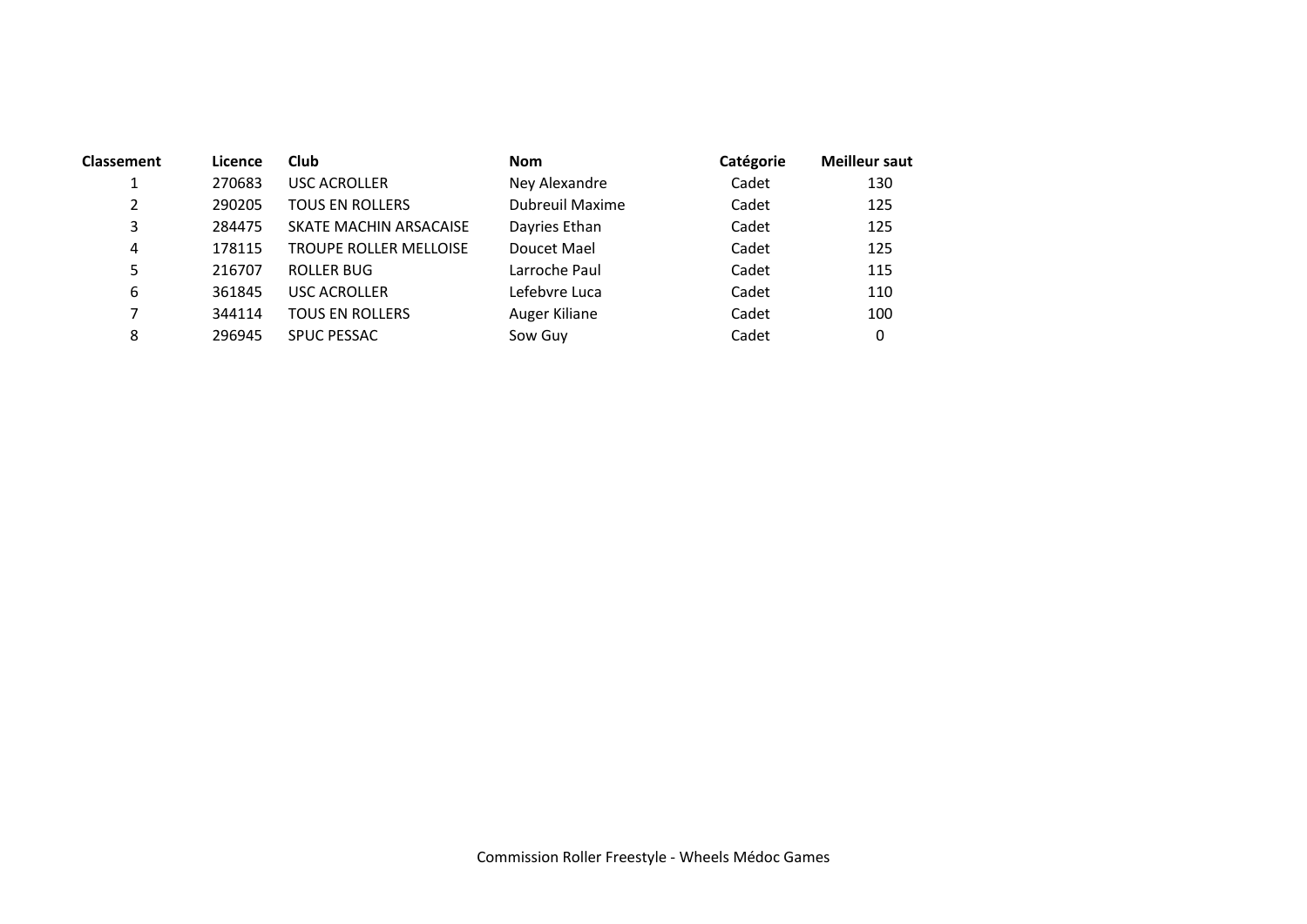| <b>Classement</b> | Licence | Club                   | <b>Nom</b>      | Catégorie | <b>Meilleur saut</b> |
|-------------------|---------|------------------------|-----------------|-----------|----------------------|
| 1                 | 270683  | <b>USC ACROLLER</b>    | Ney Alexandre   | Cadet     | 130                  |
| 2                 | 290205  | TOUS EN ROLLERS        | Dubreuil Maxime | Cadet     | 125                  |
| 3                 | 284475  | SKATE MACHIN ARSACAISE | Dayries Ethan   | Cadet     | 125                  |
| 4                 | 178115  | TROUPE ROLLER MELLOISE | Doucet Mael     | Cadet     | 125                  |
| 5                 | 216707  | ROLLER BUG             | Larroche Paul   | Cadet     | 115                  |
| 6                 | 361845  | <b>USC ACROLLER</b>    | Lefebvre Luca   | Cadet     | 110                  |
| 7                 | 344114  | <b>TOUS EN ROLLERS</b> | Auger Kiliane   | Cadet     | 100                  |
| 8                 | 296945  | <b>SPUC PESSAC</b>     | Sow Guy         | Cadet     | 0                    |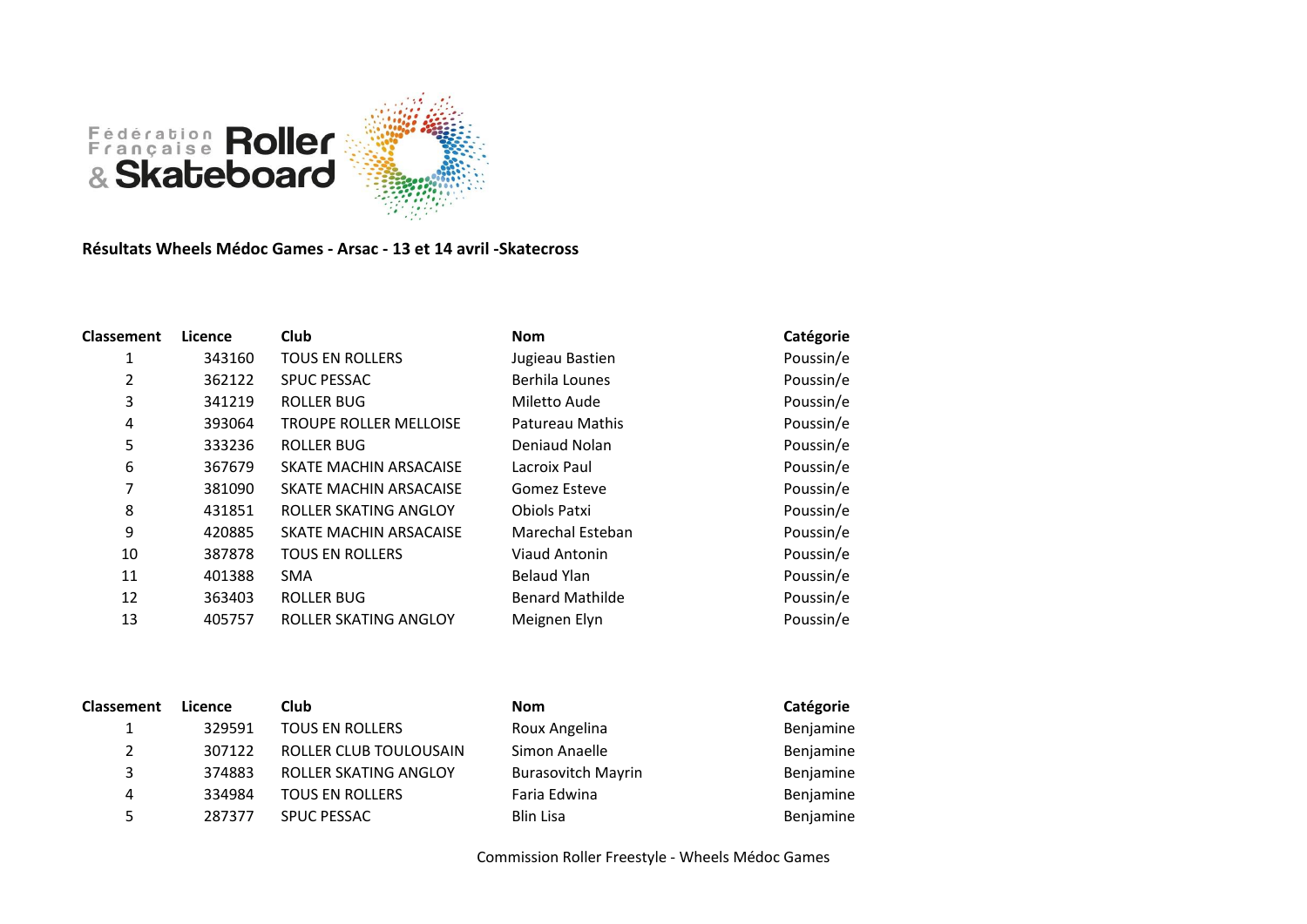

**Résultats Wheels Médoc Games - Arsac - 13 et 14 avril -Skatecross**

| <b>Classement</b> | Licence | Club                          | <b>Nom</b>             | Catégorie |
|-------------------|---------|-------------------------------|------------------------|-----------|
| 1                 | 343160  | <b>TOUS EN ROLLERS</b>        | Jugieau Bastien        | Poussin/e |
| 2                 | 362122  | <b>SPUC PESSAC</b>            | Berhila Lounes         | Poussin/e |
| 3                 | 341219  | <b>ROLLER BUG</b>             | Miletto Aude           | Poussin/e |
| 4                 | 393064  | <b>TROUPE ROLLER MELLOISE</b> | Patureau Mathis        | Poussin/e |
| 5                 | 333236  | <b>ROLLER BUG</b>             | Deniaud Nolan          | Poussin/e |
| 6                 | 367679  | SKATE MACHIN ARSACAISE        | Lacroix Paul           | Poussin/e |
| 7                 | 381090  | SKATE MACHIN ARSACAISE        | Gomez Esteve           | Poussin/e |
| 8                 | 431851  | ROLLER SKATING ANGLOY         | Obiols Patxi           | Poussin/e |
| 9                 | 420885  | SKATE MACHIN ARSACAISE        | Marechal Esteban       | Poussin/e |
| 10                | 387878  | <b>TOUS EN ROLLERS</b>        | Viaud Antonin          | Poussin/e |
| 11                | 401388  | <b>SMA</b>                    | Belaud Ylan            | Poussin/e |
| 12                | 363403  | <b>ROLLER BUG</b>             | <b>Benard Mathilde</b> | Poussin/e |
| 13                | 405757  | ROLLER SKATING ANGLOY         | Meignen Elyn           | Poussin/e |

| Classement | Licence | Club                   | <b>Nom</b>                | Catégorie |
|------------|---------|------------------------|---------------------------|-----------|
|            | 329591  | <b>TOUS EN ROLLERS</b> | Roux Angelina             | Benjamine |
| 2          | 307122  | ROLLER CLUB TOULOUSAIN | Simon Anaelle             | Benjamine |
| 3          | 374883  | ROLLER SKATING ANGLOY  | <b>Burasovitch Mayrin</b> | Benjamine |
| 4          | 334984  | <b>TOUS EN ROLLERS</b> | Faria Edwina              | Benjamine |
| 5          | 287377  | <b>SPUC PESSAC</b>     | Blin Lisa                 | Benjamine |

| Nom                | Сa |
|--------------------|----|
| Roux Angelina      | Вe |
| Simon Anaelle      | Вe |
| Burasovitch Mayrin | Вe |
| Faria Edwina       | Вe |
| Blin Lisa          | Be |
|                    |    |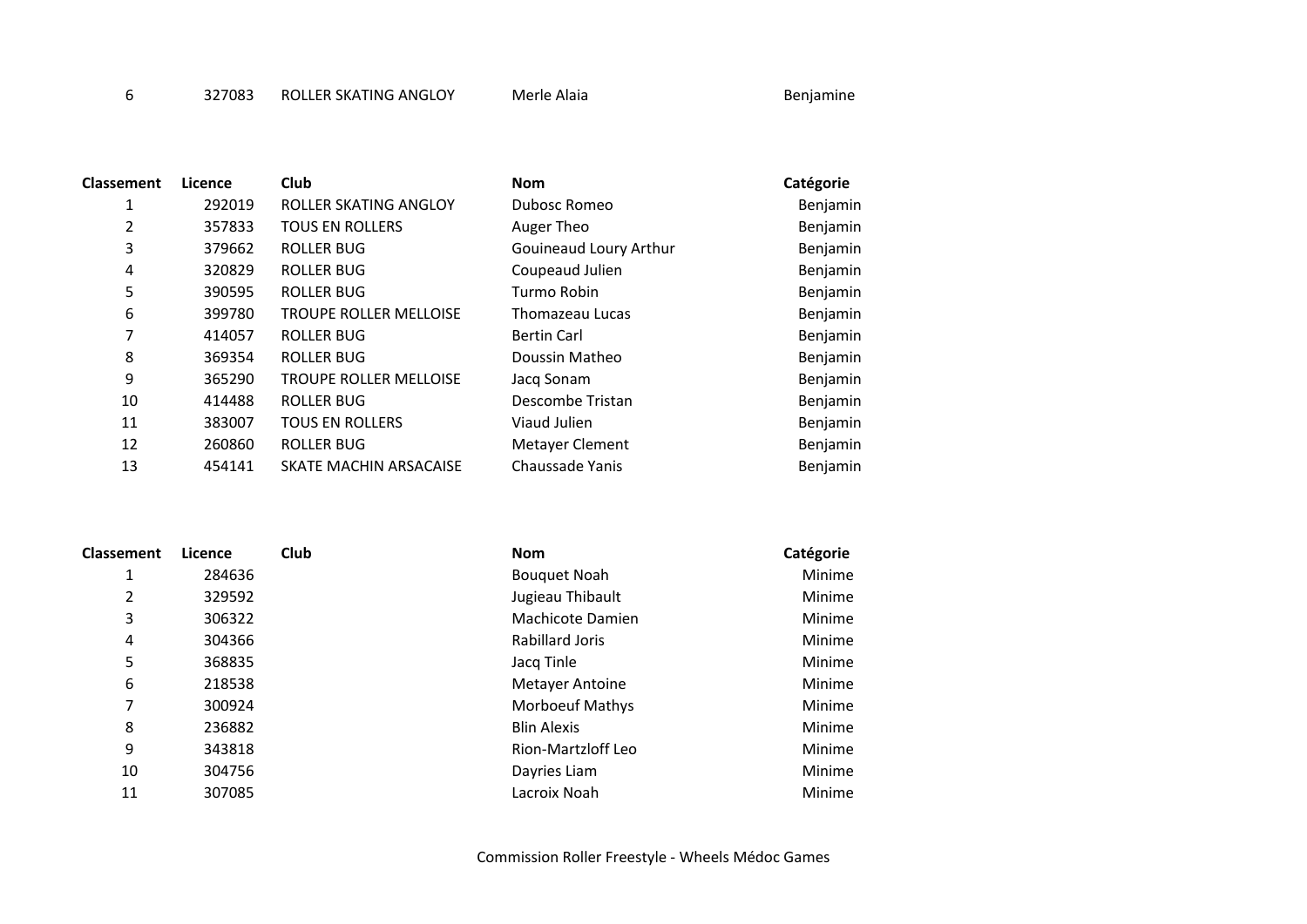6 327083 ROLLER SKATING ANGLOY Merle Alaia and the Senjamine

| 1<br>292019<br>ROLLER SKATING ANGLOY<br>Dubosc Romeo<br>Benjamin<br>2<br>357833<br><b>TOUS EN ROLLERS</b><br>Benjamin<br>Auger Theo<br>3<br>379662<br>ROLLER BUG<br>Gouineaud Loury Arthur<br>Benjamin<br>320829<br>ROLLER BUG<br>Coupeaud Julien<br>4<br>Benjamin<br>5<br>390595<br><b>ROLLER BUG</b><br>Turmo Robin<br>Benjamin<br>6<br><b>TROUPE ROLLER MELLOISE</b><br>399780<br>Benjamin<br>Thomazeau Lucas<br>7<br><b>ROLLER BUG</b><br>Benjamin<br>414057<br><b>Bertin Carl</b><br>8<br><b>ROLLER BUG</b><br>369354<br>Doussin Matheo<br>Benjamin<br>9<br>365290<br><b>TROUPE ROLLER MELLOISE</b><br>Benjamin<br>Jacq Sonam<br>10<br>ROLLER BUG<br>Descombe Tristan<br>414488<br>Benjamin<br>11<br>383007<br><b>TOUS EN ROLLERS</b><br>Viaud Julien<br>Benjamin<br>12<br><b>ROLLER BUG</b><br>260860<br>Metayer Clement<br>Benjamin<br>13<br>Chaussade Yanis<br>454141<br>SKATE MACHIN ARSACAISE<br>Benjamin | <b>Classement</b> | Licence | Club | <b>Nom</b> | Catégorie |
|---------------------------------------------------------------------------------------------------------------------------------------------------------------------------------------------------------------------------------------------------------------------------------------------------------------------------------------------------------------------------------------------------------------------------------------------------------------------------------------------------------------------------------------------------------------------------------------------------------------------------------------------------------------------------------------------------------------------------------------------------------------------------------------------------------------------------------------------------------------------------------------------------------------------|-------------------|---------|------|------------|-----------|
|                                                                                                                                                                                                                                                                                                                                                                                                                                                                                                                                                                                                                                                                                                                                                                                                                                                                                                                     |                   |         |      |            |           |
|                                                                                                                                                                                                                                                                                                                                                                                                                                                                                                                                                                                                                                                                                                                                                                                                                                                                                                                     |                   |         |      |            |           |
|                                                                                                                                                                                                                                                                                                                                                                                                                                                                                                                                                                                                                                                                                                                                                                                                                                                                                                                     |                   |         |      |            |           |
|                                                                                                                                                                                                                                                                                                                                                                                                                                                                                                                                                                                                                                                                                                                                                                                                                                                                                                                     |                   |         |      |            |           |
|                                                                                                                                                                                                                                                                                                                                                                                                                                                                                                                                                                                                                                                                                                                                                                                                                                                                                                                     |                   |         |      |            |           |
|                                                                                                                                                                                                                                                                                                                                                                                                                                                                                                                                                                                                                                                                                                                                                                                                                                                                                                                     |                   |         |      |            |           |
|                                                                                                                                                                                                                                                                                                                                                                                                                                                                                                                                                                                                                                                                                                                                                                                                                                                                                                                     |                   |         |      |            |           |
|                                                                                                                                                                                                                                                                                                                                                                                                                                                                                                                                                                                                                                                                                                                                                                                                                                                                                                                     |                   |         |      |            |           |
|                                                                                                                                                                                                                                                                                                                                                                                                                                                                                                                                                                                                                                                                                                                                                                                                                                                                                                                     |                   |         |      |            |           |
|                                                                                                                                                                                                                                                                                                                                                                                                                                                                                                                                                                                                                                                                                                                                                                                                                                                                                                                     |                   |         |      |            |           |
|                                                                                                                                                                                                                                                                                                                                                                                                                                                                                                                                                                                                                                                                                                                                                                                                                                                                                                                     |                   |         |      |            |           |
|                                                                                                                                                                                                                                                                                                                                                                                                                                                                                                                                                                                                                                                                                                                                                                                                                                                                                                                     |                   |         |      |            |           |
|                                                                                                                                                                                                                                                                                                                                                                                                                                                                                                                                                                                                                                                                                                                                                                                                                                                                                                                     |                   |         |      |            |           |

| <b>Classement</b> | Licence | Club | <b>Nom</b>             | Catégorie |
|-------------------|---------|------|------------------------|-----------|
| 1                 | 284636  |      | <b>Bouquet Noah</b>    | Minime    |
| 2                 | 329592  |      | Jugieau Thibault       | Minime    |
| 3                 | 306322  |      | Machicote Damien       | Minime    |
| 4                 | 304366  |      | Rabillard Joris        | Minime    |
| 5                 | 368835  |      | Jacq Tinle             | Minime    |
| 6                 | 218538  |      | Metayer Antoine        | Minime    |
| 7                 | 300924  |      | <b>Morboeuf Mathys</b> | Minime    |
| 8                 | 236882  |      | <b>Blin Alexis</b>     | Minime    |
| 9                 | 343818  |      | Rion-Martzloff Leo     | Minime    |
| 10                | 304756  |      | Dayries Liam           | Minime    |
| 11                | 307085  |      | Lacroix Noah           | Minime    |